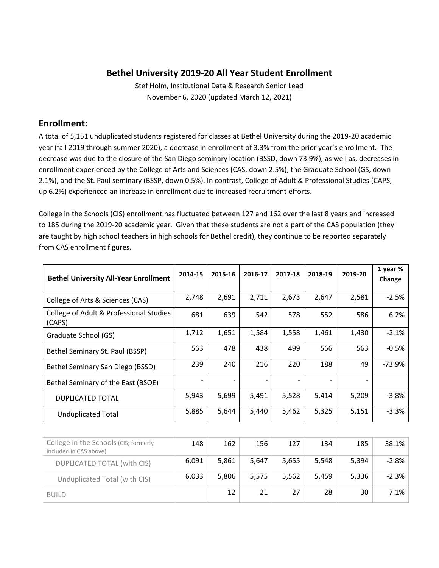#### **Bethel University 2019‐20 All Year Student Enrollment**

Stef Holm, Institutional Data & Research Senior Lead November 6, 2020 (updated March 12, 2021)

#### **Enrollment:**

A total of 5,151 unduplicated students registered for classes at Bethel University during the 2019‐20 academic year (fall 2019 through summer 2020), a decrease in enrollment of 3.3% from the prior year's enrollment. The decrease was due to the closure of the San Diego seminary location (BSSD, down 73.9%), as well as, decreases in enrollment experienced by the College of Arts and Sciences (CAS, down 2.5%), the Graduate School (GS, down 2.1%), and the St. Paul seminary (BSSP, down 0.5%). In contrast, College of Adult & Professional Studies (CAPS, up 6.2%) experienced an increase in enrollment due to increased recruitment efforts.

College in the Schools (CIS) enrollment has fluctuated between 127 and 162 over the last 8 years and increased to 185 during the 2019-20 academic year. Given that these students are not a part of the CAS population (they are taught by high school teachers in high schools for Bethel credit), they continue to be reported separately from CAS enrollment figures.

| <b>Bethel University All-Year Enrollment</b>      | 2014-15 | 2015-16 | 2016-17 | 2017-18 | 2018-19 | 2019-20 | 1 year %<br>Change |
|---------------------------------------------------|---------|---------|---------|---------|---------|---------|--------------------|
| College of Arts & Sciences (CAS)                  | 2,748   | 2,691   | 2,711   | 2,673   | 2,647   | 2,581   | $-2.5%$            |
| College of Adult & Professional Studies<br>(CAPS) | 681     | 639     | 542     | 578     | 552     | 586     | 6.2%               |
| Graduate School (GS)                              | 1,712   | 1,651   | 1,584   | 1,558   | 1,461   | 1,430   | $-2.1%$            |
| Bethel Seminary St. Paul (BSSP)                   | 563     | 478     | 438     | 499     | 566     | 563     | $-0.5%$            |
| Bethel Seminary San Diego (BSSD)                  | 239     | 240     | 216     | 220     | 188     | 49      | $-73.9%$           |
| Bethel Seminary of the East (BSOE)                |         |         |         |         |         |         |                    |
| <b>DUPLICATED TOTAL</b>                           | 5,943   | 5,699   | 5,491   | 5,528   | 5,414   | 5,209   | $-3.8%$            |
| <b>Unduplicated Total</b>                         | 5,885   | 5,644   | 5,440   | 5,462   | 5,325   | 5,151   | $-3.3%$            |
|                                                   |         |         |         |         |         |         |                    |
| College in the Schools (CIS; formerly             | 148     | 162     | 156     | 127     | 134     | 185     | 38.1%              |

| College in the Schools (CIS; formerly<br>included in CAS above) | 148   | 162   | 156   | 127   | 134   | 185   | 38.1%   |
|-----------------------------------------------------------------|-------|-------|-------|-------|-------|-------|---------|
| DUPLICATED TOTAL (with CIS)                                     | 6.091 | 5.861 | 5.647 | 5,655 | 5,548 | 5,394 | $-2.8%$ |
| Unduplicated Total (with CIS)                                   | 6.033 | 5.806 | 5.575 | 5.562 | 5.459 | 5.336 | $-2.3%$ |
| <b>BUILD</b>                                                    |       | 12    | 21    | 27    | 28    | 30    | 7.1%    |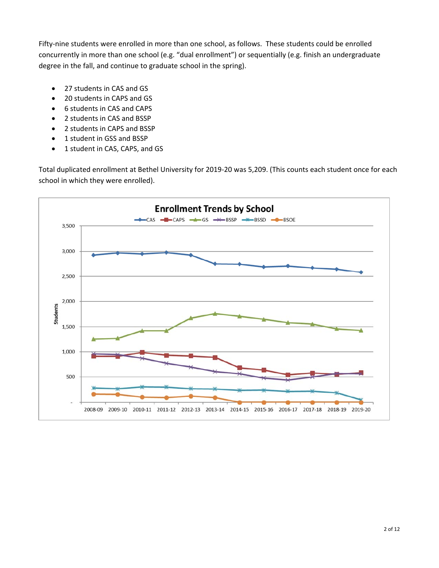Fifty-nine students were enrolled in more than one school, as follows. These students could be enrolled concurrently in more than one school (e.g. "dual enrollment") or sequentially (e.g. finish an undergraduate degree in the fall, and continue to graduate school in the spring).

- 27 students in CAS and GS
- 20 students in CAPS and GS
- 6 students in CAS and CAPS
- 2 students in CAS and BSSP
- 2 students in CAPS and BSSP
- 1 student in GSS and BSSP
- 1 student in CAS, CAPS, and GS

Total duplicated enrollment at Bethel University for 2019‐20 was 5,209. (This counts each student once for each school in which they were enrolled).

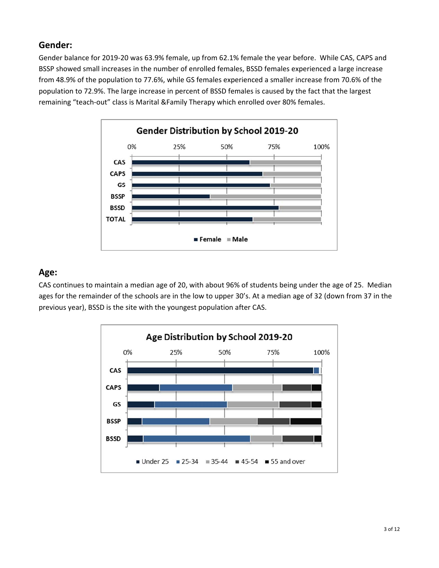#### **Gender:**

Gender balance for 2019‐20 was 63.9% female, up from 62.1% female the year before. While CAS, CAPS and BSSP showed small increases in the number of enrolled females, BSSD females experienced a large increase from 48.9% of the population to 77.6%, while GS females experienced a smaller increase from 70.6% of the population to 72.9%. The large increase in percent of BSSD females is caused by the fact that the largest remaining "teach‐out" class is Marital &Family Therapy which enrolled over 80% females.



#### **Age:**

CAS continues to maintain a median age of 20, with about 96% of students being under the age of 25. Median ages for the remainder of the schools are in the low to upper 30's. At a median age of 32 (down from 37 in the previous year), BSSD is the site with the youngest population after CAS.

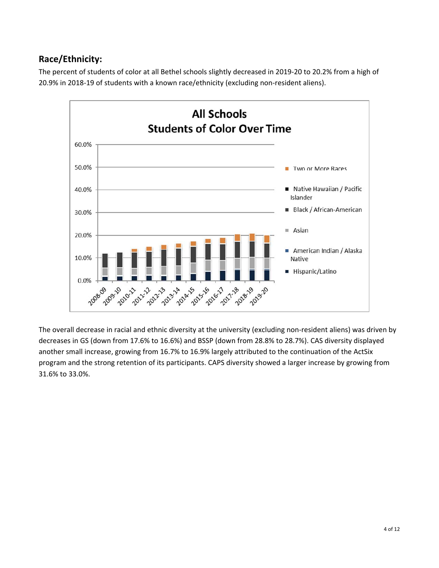# **Race/Ethnicity:**

The percent of students of color at all Bethel schools slightly decreased in 2019‐20 to 20.2% from a high of 20.9% in 2018‐19 of students with a known race/ethnicity (excluding non‐resident aliens).



The overall decrease in racial and ethnic diversity at the university (excluding non-resident aliens) was driven by decreases in GS (down from 17.6% to 16.6%) and BSSP (down from 28.8% to 28.7%). CAS diversity displayed another small increase, growing from 16.7% to 16.9% largely attributed to the continuation of the ActSix program and the strong retention of its participants. CAPS diversity showed a larger increase by growing from 31.6% to 33.0%.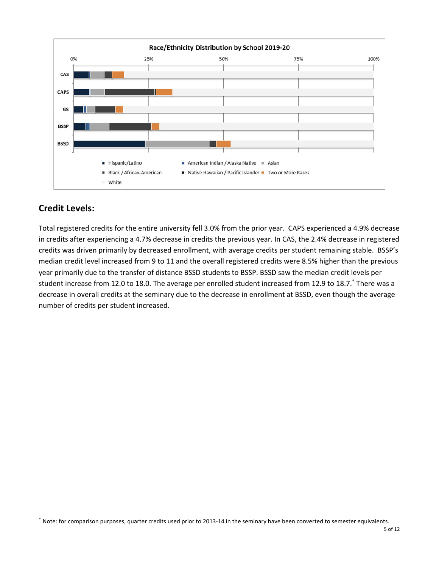

# **Credit Levels:**

Total registered credits for the entire university fell 3.0% from the prior year. CAPS experienced a 4.9% decrease in credits after experiencing a 4.7% decrease in credits the previous year. In CAS, the 2.4% decrease in registered credits was driven primarily by decreased enrollment, with average credits per student remaining stable. BSSP's median credit level increased from 9 to 11 and the overall registered credits were 8.5% higher than the previous year primarily due to the transfer of distance BSSD students to BSSP. BSSD saw the median credit levels per student increase from 12.0 to 18.0. The average per enrolled student increased from 12.9 to 18.7.\* There was a decrease in overall credits at the seminary due to the decrease in enrollment at BSSD, even though the average number of credits per student increased.

Note: for comparison purposes, quarter credits used prior to 2013-14 in the seminary have been converted to semester equivalents.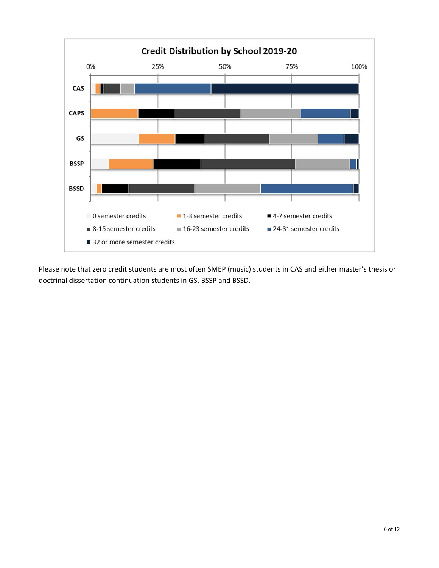

Please note that zero credit students are most often SMEP (music) students in CAS and either master's thesis or doctrinal dissertation continuation students in GS, BSSP and BSSD.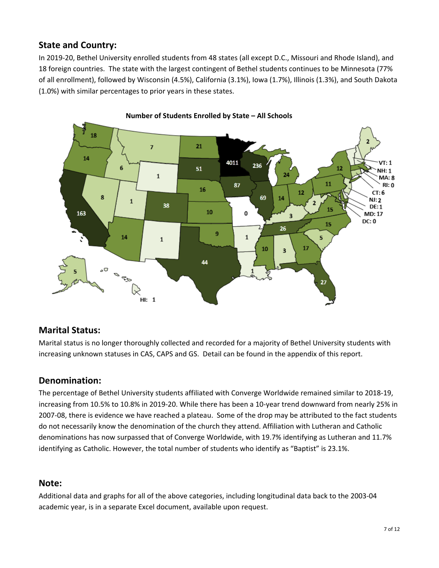### **State and Country:**

In 2019-20, Bethel University enrolled students from 48 states (all except D.C., Missouri and Rhode Island), and 18 foreign countries. The state with the largest contingent of Bethel students continues to be Minnesota (77% of all enrollment), followed by Wisconsin (4.5%), California (3.1%), Iowa (1.7%), Illinois (1.3%), and South Dakota (1.0%) with similar percentages to prior years in these states.



#### **Number of Students Enrolled by State – All Schools**

#### **Marital Status:**

Marital status is no longer thoroughly collected and recorded for a majority of Bethel University students with increasing unknown statuses in CAS, CAPS and GS. Detail can be found in the appendix of this report.

#### **Denomination:**

The percentage of Bethel University students affiliated with Converge Worldwide remained similar to 2018‐19, increasing from 10.5% to 10.8% in 2019‐20. While there has been a 10‐year trend downward from nearly 25% in 2007‐08, there is evidence we have reached a plateau. Some of the drop may be attributed to the fact students do not necessarily know the denomination of the church they attend. Affiliation with Lutheran and Catholic denominations has now surpassed that of Converge Worldwide, with 19.7% identifying as Lutheran and 11.7% identifying as Catholic. However, the total number of students who identify as "Baptist" is 23.1%.

#### **Note:**

Additional data and graphs for all of the above categories, including longitudinal data back to the 2003‐04 academic year, is in a separate Excel document, available upon request.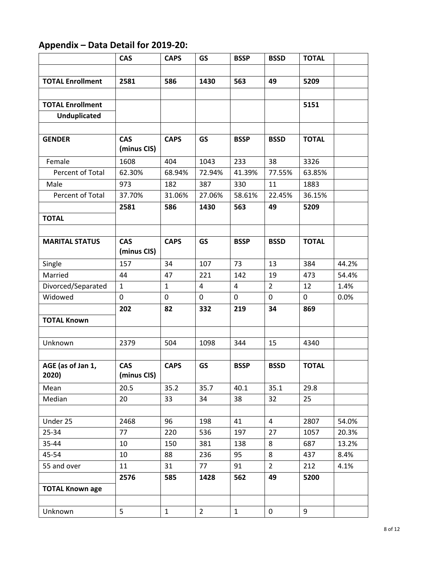# **Appendix – Data Detail for 2019‐20:**

|                         | <b>CAS</b>   | <b>CAPS</b>  | <b>GS</b>               | <b>BSSP</b>    | <b>BSSD</b>         | <b>TOTAL</b> |       |
|-------------------------|--------------|--------------|-------------------------|----------------|---------------------|--------------|-------|
|                         |              |              |                         |                |                     |              |       |
| <b>TOTAL Enrollment</b> | 2581         | 586          | 1430                    | 563            | 49                  | 5209         |       |
|                         |              |              |                         |                |                     |              |       |
| <b>TOTAL Enrollment</b> |              |              |                         |                |                     | 5151         |       |
| <b>Unduplicated</b>     |              |              |                         |                |                     |              |       |
|                         |              |              |                         |                |                     |              |       |
| <b>GENDER</b>           | <b>CAS</b>   | <b>CAPS</b>  | <b>GS</b>               | <b>BSSP</b>    | <b>BSSD</b>         | <b>TOTAL</b> |       |
|                         | (minus CIS)  |              |                         |                |                     |              |       |
| Female                  | 1608         | 404          | 1043                    | 233            | 38                  | 3326         |       |
| Percent of Total        | 62.30%       | 68.94%       | 72.94%                  | 41.39%         | 77.55%              | 63.85%       |       |
| Male                    | 973          | 182          | 387                     | 330            | 11                  | 1883         |       |
| Percent of Total        | 37.70%       | 31.06%       | 27.06%                  | 58.61%         | 22.45%              | 36.15%       |       |
|                         | 2581         | 586          | 1430                    | 563            | 49                  | 5209         |       |
| <b>TOTAL</b>            |              |              |                         |                |                     |              |       |
|                         |              |              |                         |                |                     |              |       |
| <b>MARITAL STATUS</b>   | <b>CAS</b>   | <b>CAPS</b>  | <b>GS</b>               | <b>BSSP</b>    | <b>BSSD</b>         | <b>TOTAL</b> |       |
|                         | (minus CIS)  |              |                         |                |                     |              |       |
| Single                  | 157          | 34           | 107                     | 73             | 13                  | 384          | 44.2% |
| Married                 | 44           | 47           | 221                     | 142            | 19                  | 473          | 54.4% |
| Divorced/Separated      | $\mathbf{1}$ | $\mathbf{1}$ | $\overline{\mathbf{4}}$ | $\overline{a}$ | $\overline{2}$      | 12           | 1.4%  |
| Widowed                 | 0            | 0            | 0                       | $\mathbf 0$    | 0                   | 0            | 0.0%  |
|                         | 202          | 82           | 332                     | 219            | 34                  | 869          |       |
| <b>TOTAL Known</b>      |              |              |                         |                |                     |              |       |
|                         |              |              |                         |                |                     |              |       |
| Unknown                 | 2379         | 504          | 1098                    | 344            | 15                  | 4340         |       |
|                         |              |              |                         |                |                     |              |       |
| AGE (as of Jan 1,       | <b>CAS</b>   | <b>CAPS</b>  | <b>GS</b>               | <b>BSSP</b>    | <b>BSSD</b>         | <b>TOTAL</b> |       |
| 2020)                   | (minus CIS)  |              |                         |                |                     |              |       |
| Mean                    | 20.5         | 35.2         | 35.7                    | 40.1           | 35.1                | 29.8         |       |
| Median                  | 20           | 33           | 34                      | 38             | 32                  | 25           |       |
|                         |              |              |                         |                |                     |              |       |
| Under 25                | 2468         | 96           | 198                     | 41             | $\overline{4}$      | 2807         | 54.0% |
| 25-34                   | 77           | 220          | 536                     | 197            | 27                  | 1057         | 20.3% |
| 35-44                   | 10           | 150          | 381                     | 138            | 8                   | 687          | 13.2% |
| 45-54                   | 10           | 88           | 236                     | 95             | 8                   | 437          | 8.4%  |
| 55 and over             | 11           | 31           | 77                      | 91             | $2^{\circ}$         | 212          | 4.1%  |
|                         | 2576         | 585          | 1428                    | 562            | 49                  | 5200         |       |
| <b>TOTAL Known age</b>  |              |              |                         |                |                     |              |       |
|                         |              |              |                         |                |                     |              |       |
| Unknown                 | 5            | $\mathbf{1}$ | 2 <sup>1</sup>          | $\mathbf{1}$   | $\mathsf{O}\xspace$ | 9            |       |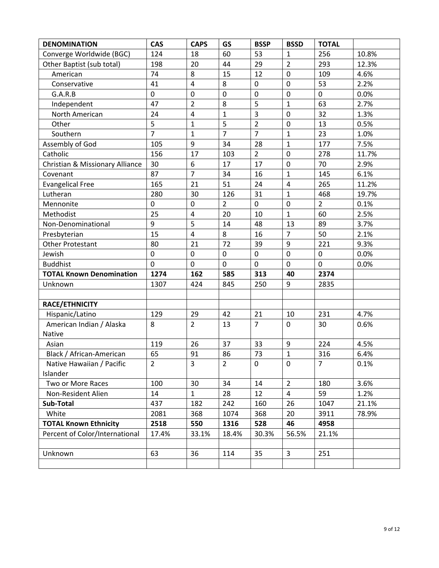| <b>DENOMINATION</b>             | <b>CAS</b>     | <b>CAPS</b>    | <b>GS</b>      | <b>BSSP</b>    | <b>BSSD</b>             | <b>TOTAL</b>   |       |
|---------------------------------|----------------|----------------|----------------|----------------|-------------------------|----------------|-------|
| Converge Worldwide (BGC)        | 124            | 18             | 60             | 53             | $\mathbf{1}$            | 256            | 10.8% |
| Other Baptist (sub total)       | 198            | 20             | 44             | 29             | $\overline{2}$          | 293            | 12.3% |
| American                        | 74             | 8              | 15             | 12             | $\mathbf 0$             | 109            | 4.6%  |
| Conservative                    | 41             | $\overline{4}$ | 8              | $\mathbf 0$    | $\mathbf 0$             | 53             | 2.2%  |
| G.A.R.B                         | 0              | $\mathbf 0$    | $\mathbf 0$    | $\pmb{0}$      | $\pmb{0}$               | $\mathbf 0$    | 0.0%  |
| Independent                     | 47             | $\overline{2}$ | 8              | 5              | $\mathbf{1}$            | 63             | 2.7%  |
| North American                  | 24             | $\overline{4}$ | $\mathbf{1}$   | 3              | $\mathbf 0$             | 32             | 1.3%  |
| Other                           | $\overline{5}$ | $\mathbf{1}$   | 5              | $\overline{2}$ | $\pmb{0}$               | 13             | 0.5%  |
| Southern                        | $\overline{7}$ | $\mathbf{1}$   | $\overline{7}$ | $\overline{7}$ | $\mathbf{1}$            | 23             | 1.0%  |
| Assembly of God                 | 105            | 9              | 34             | 28             | $\mathbf{1}$            | 177            | 7.5%  |
| Catholic                        | 156            | 17             | 103            | $\overline{2}$ | $\mathbf 0$             | 278            | 11.7% |
| Christian & Missionary Alliance | 30             | 6              | 17             | 17             | $\mathbf 0$             | 70             | 2.9%  |
| Covenant                        | 87             | $\overline{7}$ | 34             | 16             | $\mathbf{1}$            | 145            | 6.1%  |
| <b>Evangelical Free</b>         | 165            | 21             | 51             | 24             | $\overline{\mathbf{4}}$ | 265            | 11.2% |
| Lutheran                        | 280            | 30             | 126            | 31             | $\mathbf{1}$            | 468            | 19.7% |
| Mennonite                       | $\mathbf 0$    | $\mathbf 0$    | $\overline{2}$ | $\mathbf 0$    | $\mathbf 0$             | $\overline{2}$ | 0.1%  |
| Methodist                       | 25             | $\pmb{4}$      | 20             | 10             | $\mathbf{1}$            | 60             | 2.5%  |
| Non-Denominational              | 9              | 5              | 14             | 48             | 13                      | 89             | 3.7%  |
| Presbyterian                    | 15             | $\overline{4}$ | 8              | 16             | $\overline{7}$          | 50             | 2.1%  |
| <b>Other Protestant</b>         | 80             | 21             | 72             | 39             | $\boldsymbol{9}$        | 221            | 9.3%  |
| Jewish                          | 0              | $\mathbf 0$    | $\mathbf 0$    | $\mathbf 0$    | $\mathbf 0$             | 0              | 0.0%  |
| <b>Buddhist</b>                 | $\mathbf 0$    | $\mathbf 0$    | $\overline{0}$ | $\mathbf 0$    | $\mathbf 0$             | $\overline{0}$ | 0.0%  |
| <b>TOTAL Known Denomination</b> | 1274           | 162            | 585            | 313            | 40                      | 2374           |       |
| Unknown                         | 1307           | 424            | 845            | 250            | 9                       | 2835           |       |
|                                 |                |                |                |                |                         |                |       |
| RACE/ETHNICITY                  |                |                |                |                |                         |                |       |
| Hispanic/Latino                 | 129            | 29             | 42             | 21             | 10                      | 231            | 4.7%  |
| American Indian / Alaska        | 8              | $\overline{2}$ | 13             | $\overline{7}$ | $\mathbf 0$             | 30             | 0.6%  |
| Native                          |                |                |                |                |                         |                |       |
| Asian                           | 119            | 26             | 37             | 33             | 9                       | 224            | 4.5%  |
| Black / African-American        | 65             | 91             | 86             | 73             | $\mathbf{1}$            | 316            | 6.4%  |
| Native Hawaiian / Pacific       | $\overline{2}$ | 3              | $\overline{2}$ | 0              | 0                       | $\overline{7}$ | 0.1%  |
| Islander                        |                |                |                |                |                         |                |       |
| Two or More Races               | 100            | 30             | 34             | 14             | $\overline{2}$          | 180            | 3.6%  |
| Non-Resident Alien              | 14             | $\mathbf{1}$   | 28             | 12             | $\overline{4}$          | 59             | 1.2%  |
| Sub-Total                       | 437            | 182            | 242            | 160            | 26                      | 1047           | 21.1% |
| White                           | 2081           | 368            | 1074           | 368            | 20                      | 3911           | 78.9% |
| <b>TOTAL Known Ethnicity</b>    | 2518           | 550            | 1316           | 528            | 46                      | 4958           |       |
| Percent of Color/International  | 17.4%          | 33.1%          | 18.4%          | 30.3%          | 56.5%                   | 21.1%          |       |
|                                 |                |                |                |                |                         |                |       |
| Unknown                         | 63             | 36             | 114            | 35             | 3                       | 251            |       |
|                                 |                |                |                |                |                         |                |       |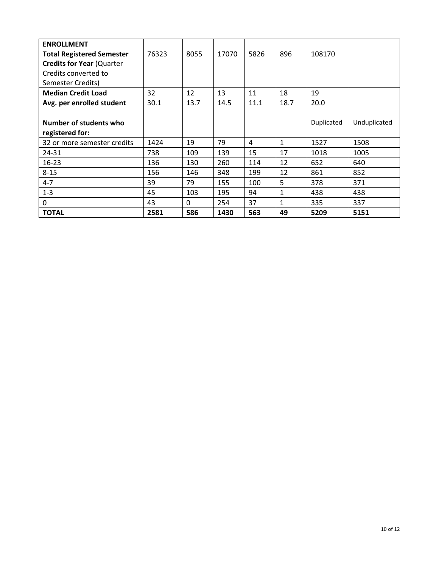| <b>ENROLLMENT</b>                |       |              |       |      |              |            |              |
|----------------------------------|-------|--------------|-------|------|--------------|------------|--------------|
| <b>Total Registered Semester</b> | 76323 | 8055         | 17070 | 5826 | 896          | 108170     |              |
| <b>Credits for Year (Quarter</b> |       |              |       |      |              |            |              |
| Credits converted to             |       |              |       |      |              |            |              |
| Semester Credits)                |       |              |       |      |              |            |              |
| <b>Median Credit Load</b>        | 32    | 12           | 13    | 11   | 18           | 19         |              |
| Avg. per enrolled student        | 30.1  | 13.7         | 14.5  | 11.1 | 18.7         | 20.0       |              |
|                                  |       |              |       |      |              |            |              |
| Number of students who           |       |              |       |      |              | Duplicated | Unduplicated |
| registered for:                  |       |              |       |      |              |            |              |
| 32 or more semester credits      | 1424  | 19           | 79    | 4    | $\mathbf{1}$ | 1527       | 1508         |
| 24-31                            | 738   | 109          | 139   | 15   | 17           | 1018       | 1005         |
| $16 - 23$                        | 136   | 130          | 260   | 114  | 12           | 652        | 640          |
| $8 - 15$                         | 156   | 146          | 348   | 199  | 12           | 861        | 852          |
| $4 - 7$                          | 39    | 79           | 155   | 100  | 5            | 378        | 371          |
| $1 - 3$                          | 45    | 103          | 195   | 94   | $\mathbf{1}$ | 438        | 438          |
| 0                                | 43    | $\mathbf{0}$ | 254   | 37   | 1            | 335        | 337          |
| <b>TOTAL</b>                     | 2581  | 586          | 1430  | 563  | 49           | 5209       | 5151         |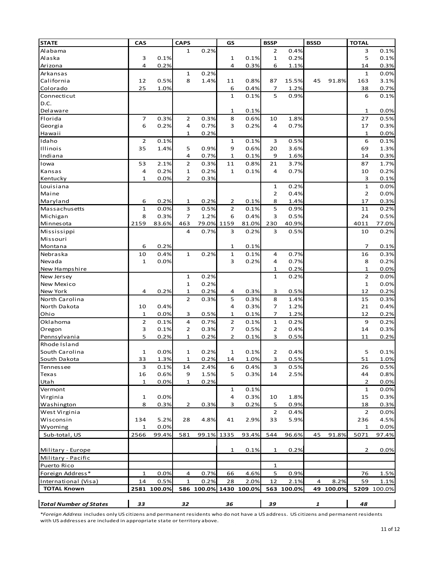| <b>STATE</b>                  | CAS                |              | <b>CAPS</b>       |              | GS                |        | <b>BSSP</b>    |              | <b>BSSD</b> |        | <b>TOTAL</b>         |              |
|-------------------------------|--------------------|--------------|-------------------|--------------|-------------------|--------|----------------|--------------|-------------|--------|----------------------|--------------|
| Alabama                       |                    |              | $\mathbf{1}$      | 0.2%         |                   |        | 2              | 0.4%         |             |        | 3                    | 0.1%         |
| Alaska                        | 3                  | 0.1%         |                   |              | 1                 | 0.1%   | $\mathbf 1$    | 0.2%         |             |        | 5                    | 0.1%         |
| Arizona                       | 4                  | 0.2%         |                   |              | 4                 | 0.3%   | 6              | 1.1%         |             |        | 14                   | 0.3%         |
| Arkansas                      |                    |              | $\mathbf{1}$      | 0.2%         |                   |        |                |              |             |        | $\mathbf{1}$         | 0.0%         |
| California                    | 12                 | 0.5%         | 8                 | 1.4%         | 11                | 0.8%   | 87             | 15.5%        | 45          | 91.8%  | 163                  | 3.1%         |
| Colorado                      | 25                 | 1.0%         |                   |              | 6                 | 0.4%   | 7              | 1.2%         |             |        | 38                   | 0.7%         |
| Connecticut                   |                    |              |                   |              | $\mathbf{1}$      | 0.1%   | 5              | 0.9%         |             |        | 6                    | 0.1%         |
| D.C.                          |                    |              |                   |              |                   |        |                |              |             |        |                      |              |
| Delaware                      |                    |              |                   |              | 1                 | 0.1%   |                |              |             |        | $\mathbf 1$          | 0.0%         |
| Florida                       | $\overline{7}$     | 0.3%         | $\overline{2}$    | 0.3%         | 8                 | 0.6%   | 10             | 1.8%         |             |        | 27                   | 0.5%         |
| Georgia                       | 6                  | 0.2%         | 4                 | 0.7%         | 3                 | 0.2%   | 4              | 0.7%         |             |        | 17                   | 0.3%         |
| Hawaii                        |                    |              | $\mathbf{1}$      | 0.2%         |                   |        |                |              |             |        | $\mathbf{1}$         | 0.0%         |
| Idaho                         | $\overline{2}$     | 0.1%         |                   |              | 1                 | 0.1%   | 3              | 0.5%         |             |        | 6                    | 0.1%         |
| Illinois                      | 35                 | 1.4%         | 5                 | 0.9%         | 9                 | 0.6%   | 20             | 3.6%         |             |        | 69                   | 1.3%         |
| Indiana                       |                    |              | 4                 | 0.7%         | $\mathbf{1}$      | 0.1%   | 9              | 1.6%         |             |        | 14                   | 0.3%         |
| Iowa                          | 53                 | 2.1%         | $\overline{2}$    | 0.3%         | 11                | 0.8%   | 21             | 3.7%         |             |        | 87                   | 1.7%         |
| Kansas                        | 4                  | 0.2%         | 1                 | 0.2%         | 1                 | 0.1%   | 4              | 0.7%         |             |        | 10                   | 0.2%         |
| Kentucky                      | $\mathbf{1}$       | 0.0%         | $\overline{2}$    | 0.3%         |                   |        |                |              |             |        | 3                    | 0.1%         |
| Louisiana                     |                    |              |                   |              |                   |        | 1              | 0.2%         |             |        | $\mathbf{1}$         | 0.0%         |
| Maine                         |                    |              |                   |              |                   |        | 2              | 0.4%         |             |        | $\overline{2}$       | 0.0%         |
| Maryland                      | 6                  | 0.2%         | 1                 | 0.2%         | 2                 | 0.1%   | 8              | 1.4%         |             |        | 17                   | 0.3%         |
| Massachusetts                 | $\mathbf{1}$       | 0.0%         | 3                 | 0.5%         | $\overline{2}$    | 0.1%   | 5              | 0.9%         |             |        | 11                   | 0.2%         |
| Michigan                      | 8                  | 0.3%         | $\overline{7}$    | 1.2%         | 6                 | 0.4%   | 3              | 0.5%         |             |        | 24                   | 0.5%         |
| Minnesota                     | 2159               | 83.6%        | 463               | 79.0%        | 1159              | 81.0%  | 230            | 40.9%        |             |        | 4011                 | 77.0%        |
| Mississippi                   |                    |              | 4                 | 0.7%         | 3                 | 0.2%   | 3              | 0.5%         |             |        | 10                   | 0.2%         |
| Missouri                      |                    |              |                   |              |                   |        |                |              |             |        |                      |              |
| Montana                       | 6                  | 0.2%         |                   |              | $\mathbf{1}$      | 0.1%   |                |              |             |        | 7                    | 0.1%         |
| Nebraska                      | 10                 | 0.4%         | $\mathbf{1}$      | 0.2%         | $\mathbf 1$       | 0.1%   | 4              | 0.7%         |             |        | 16                   | 0.3%         |
| Nevada                        | $\mathbf 1$        | 0.0%         |                   |              | 3                 | 0.2%   | 4              | 0.7%         |             |        | 8                    | 0.2%         |
| New Hampshire                 |                    |              |                   |              |                   |        | 1              | 0.2%         |             |        | $\mathbf{1}$         | 0.0%         |
| New Jersey                    |                    |              | $\mathbf{1}$      | 0.2%         |                   |        | $\mathbf{1}$   | 0.2%         |             |        | $\overline{2}$       | 0.0%         |
| <b>New Mexico</b>             |                    |              | ${\bf 1}$         | 0.2%         |                   |        |                |              |             |        | $\mathbf 1$          | 0.0%         |
| New York                      | 4                  | 0.2%         | $\mathbf{1}$      | 0.2%         | 4                 | 0.3%   | 3              | 0.5%         |             |        | 12                   | 0.2%         |
| North Carolina                |                    |              | $\overline{2}$    | 0.3%         | 5                 | 0.3%   | 8              | 1.4%         |             |        | 15                   | 0.3%         |
| North Dakota                  | 10                 | 0.4%         |                   |              | 4                 | 0.3%   | 7              | 1.2%         |             |        | 21                   | 0.4%         |
| Ohio                          | 1                  | 0.0%         | 3                 | 0.5%         | $\mathbf{1}$      | 0.1%   | 7              | 1.2%         |             |        | 12                   | 0.2%         |
| Oklahoma                      | $\overline{2}$     | 0.1%         | 4                 | 0.7%         | 2                 | 0.1%   | 1              | 0.2%         |             |        | 9                    | 0.2%         |
| Oregon                        | 3                  | 0.1%         | $\overline{2}$    | 0.3%         | 7                 | 0.5%   | 2              | 0.4%         |             |        | 14                   | 0.3%         |
| Pennsylvania                  | 5                  | 0.2%         | $\mathbf{1}$      | 0.2%         | $\overline{2}$    | 0.1%   | 3              | 0.5%         |             |        | 11                   | 0.2%         |
| Rhode Island                  |                    |              |                   |              |                   |        |                |              |             |        |                      |              |
| South Carolina                | 1                  | 0.0%         | $\mathbf{1}$      | 0.2%         | $\mathbf{1}$      | 0.1%   | $\overline{2}$ | 0.4%         |             |        | 5                    | 0.1%         |
| South Dakota                  | 33                 | 1.3%         | 1                 | 0.2%         | 14                | 1.0%   | 3 <sup>7</sup> | 0.5%         |             |        | 51                   | 1.0%         |
|                               | 3                  |              |                   |              |                   |        | 3              | 0.5%         |             |        |                      |              |
| Tennessee                     |                    | 0.1%         | 14                | 2.4%         | 6                 | 0.4%   |                |              |             |        | 26                   | 0.5%         |
| Texas                         | 16<br>$\mathbf{1}$ | 0.6%<br>0.0% | 9<br>$\mathbf{1}$ | 1.5%<br>0.2% | 5                 | 0.3%   | 14             | 2.5%         |             |        | 44<br>$\overline{2}$ | 0.8%         |
| Utah                          |                    |              |                   |              |                   | 0.1%   |                |              |             |        | $\mathbf{1}$         | 0.0%<br>0.0% |
| Vermont                       |                    | 0.0%         |                   |              | $\mathbf{1}$<br>4 | 0.3%   |                |              |             |        | 15                   |              |
| Virginia<br>Washington        | $\mathbf{1}$<br>8  | 0.3%         |                   | 0.3%         | 3                 | 0.2%   | 10<br>5        | 1.8%<br>0.9% |             |        | 18                   | 0.3%<br>0.3% |
|                               |                    |              | 2                 |              |                   |        |                |              |             |        |                      |              |
| West Virginia                 |                    |              |                   |              |                   |        | $\overline{2}$ | 0.4%         |             |        | $\overline{2}$       | 0.0%         |
| Wisconsin                     | 134                | 5.2%         | 28                | 4.8%         | 41                | 2.9%   | 33             | 5.9%         |             |        | 236                  | 4.5%         |
| Wyoming                       | $\mathbf{1}$       | 0.0%         |                   |              |                   |        |                |              |             |        | $\mathbf{1}$         | 0.0%         |
| Sub-total, US                 | 2566               | 99.4%        | 581               | 99.1% 1335   |                   | 93.4%  | 544            | 96.6%        | 45          | 91.8%  | 5071                 | 97.4%        |
|                               |                    |              |                   |              |                   |        |                |              |             |        |                      |              |
| Military - Europe             |                    |              |                   |              | 1                 | 0.1%   | 1              | 0.2%         |             |        | $\overline{2}$       | 0.0%         |
| Military - Pacific            |                    |              |                   |              |                   |        |                |              |             |        |                      |              |
| Puerto Rico                   |                    |              |                   |              |                   |        | $\mathbf{1}$   |              |             |        |                      |              |
| Foreign Address*              | $\mathbf{1}$       | 0.0%         | 4                 | 0.7%         | 66                | 4.6%   | 5              | 0.9%         |             |        | 76                   | 1.5%         |
| International (Visa)          | 14                 | 0.5%         | 1                 | 0.2%         | 28                | 2.0%   | 12             | 2.1%         | 4           | 8.2%   | 59                   | 1.1%         |
| <b>TOTAL Known</b>            |                    | 2581 100.0%  |                   | 586 100.0%   | 1430              | 100.0% |                | 563 100.0%   | 49          | 100.0% | 5209                 | 100.0%       |
|                               |                    |              |                   |              |                   |        |                |              |             |        |                      |              |
| <b>Total Number of States</b> | 33                 |              | 32                |              | 36                |        | 39             |              | 1           |        | 48                   |              |

\**Foreign Address* includes only US citizens and permanent residents who do not have a US address. US citizens and permanent residents with US addresses are included in appropriate state or territory above.